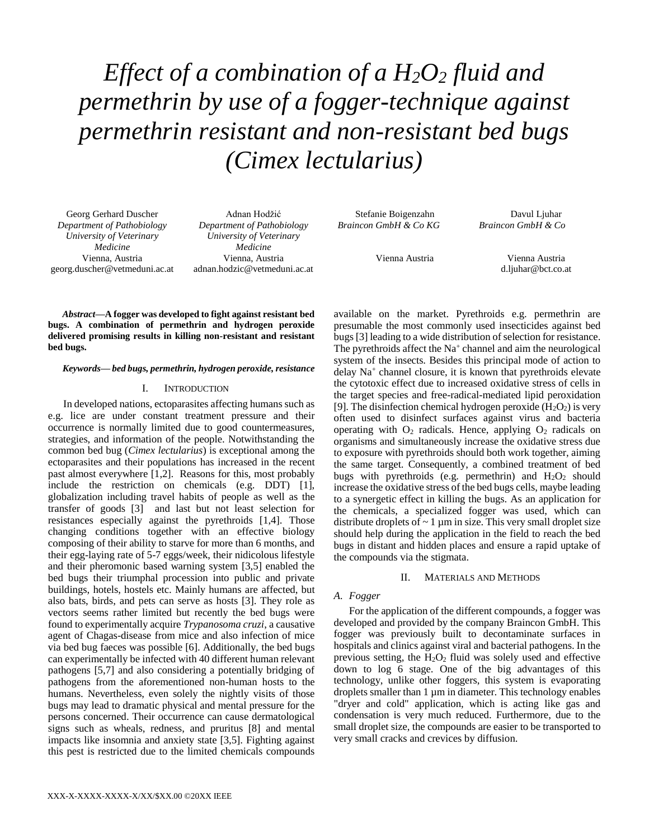*Effect of a combination of a H2O<sup>2</sup> fluid and permethrin by use of a fogger-technique against permethrin resistant and non-resistant bed bugs (Cimex lectularius)*

Georg Gerhard Duscher *Department of Pathobiology University of Veterinary Medicine* Vienna, Austria georg.duscher@vetmeduni.ac.at

Adnan Hodžić *Department of Pathobiology University of Veterinary Medicine* Vienna, Austria adnan.hodzic@vetmeduni.ac.at

Stefanie Boigenzahn *Braincon GmbH & Co KG*

Davul Ljuhar *Braincon GmbH & Co*

Vienna Austria

Vienna Austria d.ljuhar@bct.co.at

*Abstract***—A fogger was developed to fight against resistant bed bugs. A combination of permethrin and hydrogen peroxide delivered promising results in killing non-resistant and resistant bed bugs.**

# *Keywords— bed bugs, permethrin, hydrogen peroxide, resistance*

### I. INTRODUCTION

In developed nations, ectoparasites affecting humans such as e.g. lice are under constant treatment pressure and their occurrence is normally limited due to good countermeasures, strategies, and information of the people. Notwithstanding the common bed bug (*Cimex lectularius*) is exceptional among the ectoparasites and their populations has increased in the recent past almost everywhere [1,2]. Reasons for this, most probably include the restriction on chemicals (e.g. DDT) [1], globalization including travel habits of people as well as the transfer of goods [3] and last but not least selection for resistances especially against the pyrethroids [1,4]. Those changing conditions together with an effective biology composing of their ability to starve for more than 6 months, and their egg-laying rate of 5-7 eggs/week, their nidicolous lifestyle and their pheromonic based warning system [3,5] enabled the bed bugs their triumphal procession into public and private buildings, hotels, hostels etc. Mainly humans are affected, but also bats, birds, and pets can serve as hosts [3]. They role as vectors seems rather limited but recently the bed bugs were found to experimentally acquire *Trypanosoma cruzi*, a causative agent of Chagas-disease from mice and also infection of mice via bed bug faeces was possible [6]. Additionally, the bed bugs can experimentally be infected with 40 different human relevant pathogens [5,7] and also considering a potentially bridging of pathogens from the aforementioned non-human hosts to the humans. Nevertheless, even solely the nightly visits of those bugs may lead to dramatic physical and mental pressure for the persons concerned. Their occurrence can cause dermatological signs such as wheals, redness, and pruritus [8] and mental impacts like insomnia and anxiety state [3,5]. Fighting against this pest is restricted due to the limited chemicals compounds

available on the market. Pyrethroids e.g. permethrin are presumable the most commonly used insecticides against bed bugs [3] leading to a wide distribution of selection for resistance. The pyrethroids affect the  $Na<sup>+</sup>$  channel and aim the neurological system of the insects. Besides this principal mode of action to delay Na<sup>+</sup> channel closure, it is known that pyrethroids elevate the cytotoxic effect due to increased oxidative stress of cells in the target species and free-radical-mediated lipid peroxidation [9]. The disinfection chemical hydrogen peroxide  $(H_2O_2)$  is very often used to disinfect surfaces against virus and bacteria operating with  $O_2$  radicals. Hence, applying  $O_2$  radicals on organisms and simultaneously increase the oxidative stress due to exposure with pyrethroids should both work together, aiming the same target. Consequently, a combined treatment of bed bugs with pyrethroids (e.g. permethrin) and  $H_2O_2$  should increase the oxidative stress of the bed bugs cells, maybe leading to a synergetic effect in killing the bugs. As an application for the chemicals, a specialized fogger was used, which can distribute droplets of  $\sim 1 \mu m$  in size. This very small droplet size should help during the application in the field to reach the bed bugs in distant and hidden places and ensure a rapid uptake of the compounds via the stigmata.

# II. MATERIALS AND METHODS

### *A. Fogger*

For the application of the different compounds, a fogger was developed and provided by the company Braincon GmbH. This fogger was previously built to decontaminate surfaces in hospitals and clinics against viral and bacterial pathogens. In the previous setting, the  $H_2O_2$  fluid was solely used and effective down to log 6 stage. One of the big advantages of this technology, unlike other foggers, this system is evaporating droplets smaller than 1  $\mu$ m in diameter. This technology enables "dryer and cold" application, which is acting like gas and condensation is very much reduced. Furthermore, due to the small droplet size, the compounds are easier to be transported to very small cracks and crevices by diffusion.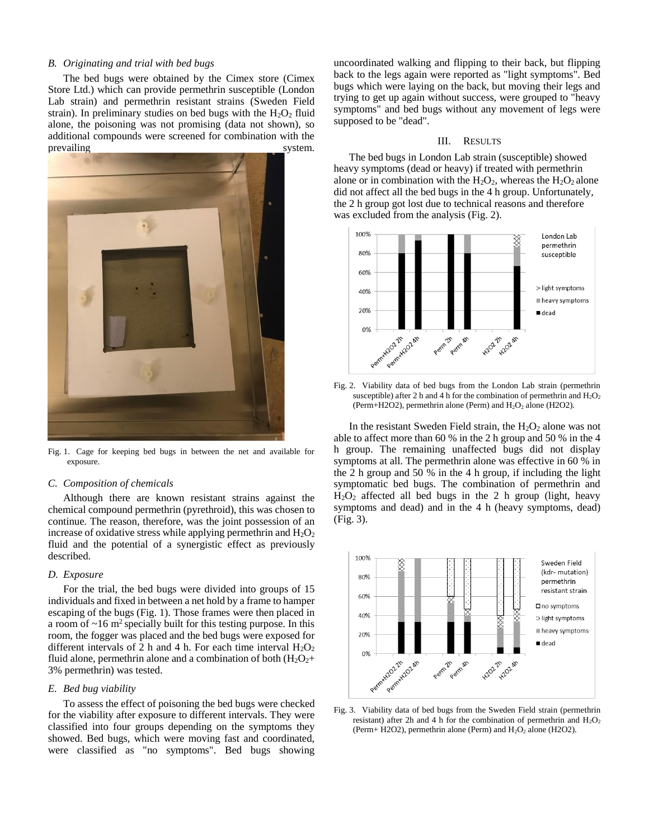# *B. Originating and trial with bed bugs*

The bed bugs were obtained by the Cimex store (Cimex Store Ltd.) which can provide permethrin susceptible (London Lab strain) and permethrin resistant strains (Sweden Field strain). In preliminary studies on bed bugs with the  $H_2O_2$  fluid alone, the poisoning was not promising (data not shown), so additional compounds were screened for combination with the prevailing system.



Fig. 1. Cage for keeping bed bugs in between the net and available for exposure.

## *C. Composition of chemicals*

Although there are known resistant strains against the chemical compound permethrin (pyrethroid), this was chosen to continue. The reason, therefore, was the joint possession of an increase of oxidative stress while applying permethrin and  $H_2O_2$ fluid and the potential of a synergistic effect as previously described.

#### *D. Exposure*

For the trial, the bed bugs were divided into groups of 15 individuals and fixed in between a net hold by a frame to hamper escaping of the bugs (Fig. 1). Those frames were then placed in a room of  $\sim$ 16 m<sup>2</sup> specially built for this testing purpose. In this room, the fogger was placed and the bed bugs were exposed for different intervals of 2 h and 4 h. For each time interval  $H_2O_2$ fluid alone, permethrin alone and a combination of both  $(H_2O_2+)$ 3% permethrin) was tested.

### *E. Bed bug viability*

To assess the effect of poisoning the bed bugs were checked for the viability after exposure to different intervals. They were classified into four groups depending on the symptoms they showed. Bed bugs, which were moving fast and coordinated, were classified as "no symptoms". Bed bugs showing uncoordinated walking and flipping to their back, but flipping back to the legs again were reported as "light symptoms". Bed bugs which were laying on the back, but moving their legs and trying to get up again without success, were grouped to "heavy symptoms" and bed bugs without any movement of legs were supposed to be "dead".

# III. RESULTS

The bed bugs in London Lab strain (susceptible) showed heavy symptoms (dead or heavy) if treated with permethrin alone or in combination with the  $H_2O_2$ , whereas the  $H_2O_2$  alone did not affect all the bed bugs in the 4 h group. Unfortunately, the 2 h group got lost due to technical reasons and therefore was excluded from the analysis (Fig. 2).



Fig. 2. Viability data of bed bugs from the London Lab strain (permethrin susceptible) after 2 h and 4 h for the combination of permethrin and  $H_2O_2$ (Perm+H2O2), permethrin alone (Perm) and  $H_2O_2$  alone (H2O2).

In the resistant Sweden Field strain, the  $H_2O_2$  alone was not able to affect more than 60 % in the 2 h group and 50 % in the 4 h group. The remaining unaffected bugs did not display symptoms at all. The permethrin alone was effective in 60 % in the 2 h group and 50 % in the 4 h group, if including the light symptomatic bed bugs. The combination of permethrin and  $H<sub>2</sub>O<sub>2</sub>$  affected all bed bugs in the 2 h group (light, heavy symptoms and dead) and in the 4 h (heavy symptoms, dead) (Fig. 3).



Fig. 3. Viability data of bed bugs from the Sweden Field strain (permethrin resistant) after 2h and 4 h for the combination of permethrin and  $H_2O_2$ (Perm+ H2O2), permethrin alone (Perm) and  $H_2O_2$  alone (H2O2).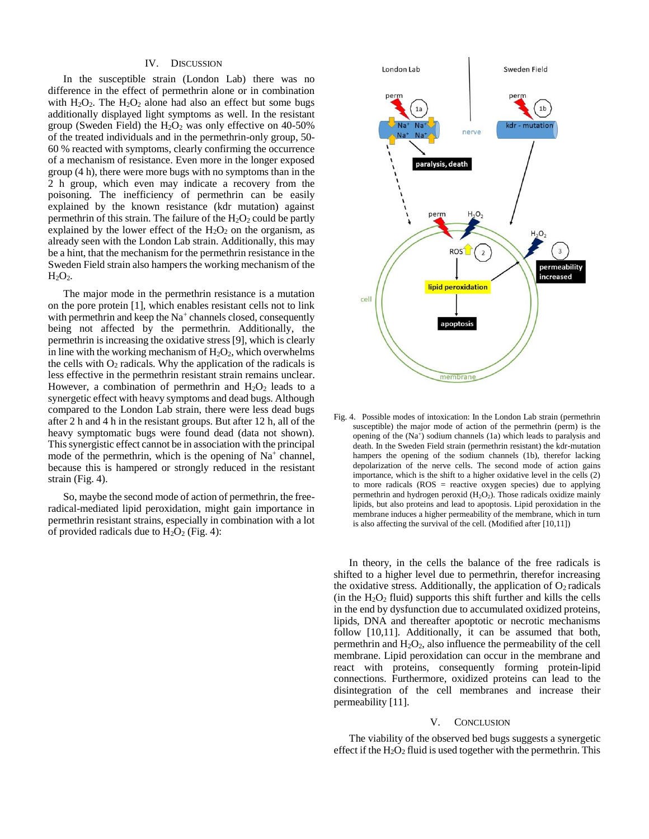### IV. DISCUSSION

In the susceptible strain (London Lab) there was no difference in the effect of permethrin alone or in combination with  $H_2O_2$ . The  $H_2O_2$  alone had also an effect but some bugs additionally displayed light symptoms as well. In the resistant group (Sweden Field) the  $H_2O_2$  was only effective on 40-50% of the treated individuals and in the permethrin-only group, 50- 60 % reacted with symptoms, clearly confirming the occurrence of a mechanism of resistance. Even more in the longer exposed group (4 h), there were more bugs with no symptoms than in the 2 h group, which even may indicate a recovery from the poisoning. The inefficiency of permethrin can be easily explained by the known resistance (kdr mutation) against permethrin of this strain. The failure of the  $H_2O_2$  could be partly explained by the lower effect of the  $H_2O_2$  on the organism, as already seen with the London Lab strain. Additionally, this may be a hint, that the mechanism for the permethrin resistance in the Sweden Field strain also hampers the working mechanism of the  $H<sub>2</sub>O<sub>2</sub>$ .

The major mode in the permethrin resistance is a mutation on the pore protein [1], which enables resistant cells not to link with permethrin and keep the Na<sup>+</sup> channels closed, consequently being not affected by the permethrin. Additionally, the permethrin is increasing the oxidative stress [9], which is clearly in line with the working mechanism of  $H_2O_2$ , which overwhelms the cells with  $O_2$  radicals. Why the application of the radicals is less effective in the permethrin resistant strain remains unclear. However, a combination of permethrin and  $H_2O_2$  leads to a synergetic effect with heavy symptoms and dead bugs. Although compared to the London Lab strain, there were less dead bugs after 2 h and 4 h in the resistant groups. But after 12 h, all of the heavy symptomatic bugs were found dead (data not shown). This synergistic effect cannot be in association with the principal mode of the permethrin, which is the opening of  $Na<sup>+</sup>$  channel, because this is hampered or strongly reduced in the resistant strain (Fig. 4).

So, maybe the second mode of action of permethrin, the freeradical-mediated lipid peroxidation, might gain importance in permethrin resistant strains, especially in combination with a lot of provided radicals due to  $H_2O_2$  (Fig. 4):



Fig. 4. Possible modes of intoxication: In the London Lab strain (permethrin susceptible) the major mode of action of the permethrin (perm) is the opening of the (Na<sup>+</sup>) sodium channels (1a) which leads to paralysis and death. In the Sweden Field strain (permethrin resistant) the kdr-mutation hampers the opening of the sodium channels (1b), therefor lacking depolarization of the nerve cells. The second mode of action gains importance, which is the shift to a higher oxidative level in the cells (2) to more radicals (ROS = reactive oxygen species) due to applying permethrin and hydrogen peroxid  $(H_2O_2)$ . Those radicals oxidize mainly lipids, but also proteins and lead to apoptosis. Lipid peroxidation in the membrane induces a higher permeability of the membrane, which in turn is also affecting the survival of the cell. (Modified after [10,11])

In theory, in the cells the balance of the free radicals is shifted to a higher level due to permethrin, therefor increasing the oxidative stress. Additionally, the application of  $O_2$  radicals (in the  $H_2O_2$  fluid) supports this shift further and kills the cells in the end by dysfunction due to accumulated oxidized proteins, lipids, DNA and thereafter apoptotic or necrotic mechanisms follow [10,11]. Additionally, it can be assumed that both, permethrin and  $H_2O_2$ , also influence the permeability of the cell membrane. Lipid peroxidation can occur in the membrane and react with proteins, consequently forming protein-lipid connections. Furthermore, oxidized proteins can lead to the disintegration of the cell membranes and increase their permeability [11].

# V. CONCLUSION

The viability of the observed bed bugs suggests a synergetic effect if the  $H_2O_2$  fluid is used together with the permethrin. This